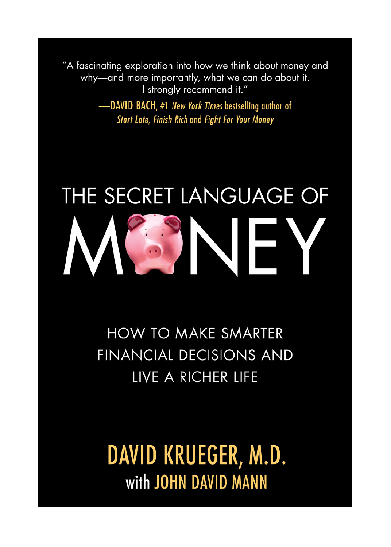"A fascinating exploration into how we think about money and why—and more importantly, what we can do about it. I strongly recommend it."

> -DAVID BACH, #1 New York Times bestselling author of Start Late, Finish Rich and Fight For Your Money

# THE SECRET LANGUAGE OF l Z

## **HOW TO MAKE SMARTER** FINANCIAL DECISIONS AND LIVE A RICHER LIFE

# DAVID KRUEGER, M.D. with JOHN DAVID MANN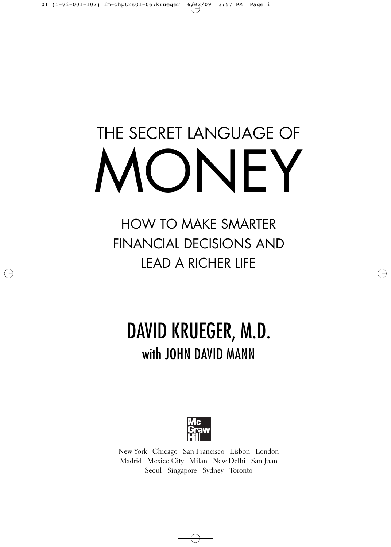# THE SECRET LANGUAGE OF ONEY

## HOW TO MAKE SMARTER FINANCIAL DECISIONS AND LEAD A RICHER LIFE

## DAVID KRUEGER, M.D. with JOHN DAVID MANN



New York Chicago San Francisco Lisbon London Madrid Mexico City Milan New Delhi San Juan Seoul Singapore Sydney Toronto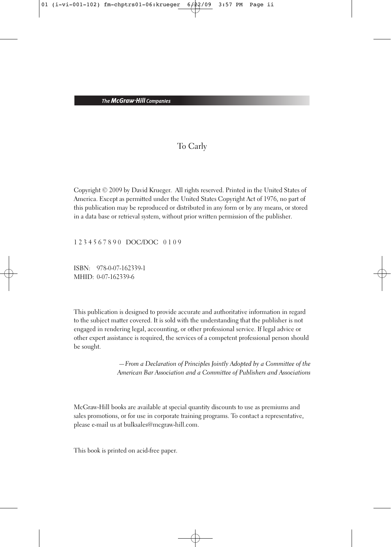The McGraw Hill Companies

## To Carly

Copyright © 2009 by David Krueger. All rights reserved. Printed in the United States of America. Except as permitted under the United States Copyright Act of 1976, no part of this publication may be reproduced or distributed in any form or by any means, or stored in a data base or retrieval system, without prior written permission of the publisher.

1 2 3 4 5 6 7 8 9 0 DOC/DOC 0 1 0 9

ISBN: 978-0-07-162339-1 MHID: 0-07-162339-6

This publication is designed to provide accurate and authoritative information in regard to the subject matter covered. It is sold with the understanding that the publisher is not engaged in rendering legal, accounting, or other professional service. If legal advice or other expert assistance is required, the services of a competent professional person should be sought.

> —From a Declaration of Principles Jointly Adopted by a Committee of the American Bar Association and a Committee of Publishers and Associations

McGraw-Hill books are available at special quantity discounts to use as premiums and sales promotions, or for use in corporate training programs. To contact a representative, please e-mail us at bulksales@mcgraw-hill.com.

This book is printed on acid-free paper.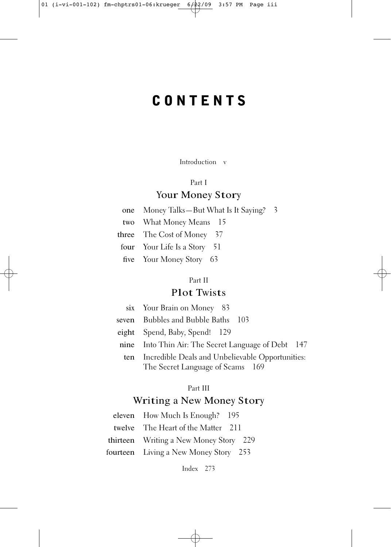## CONTENTS

Introduction v

### Part I

## Your Money Story

one Money Talks—But What Is It Saying? 3

two What Money Means 15

three The Cost of Money 37

four Your Life Is a Story 51

five Your Money Story 63

### Part II

## Plot Twists

|  |  |  |  | Your Brain on Money | 83 |
|--|--|--|--|---------------------|----|
|--|--|--|--|---------------------|----|

seven Bubbles and Bubble Baths 103

eight Spend, Baby, Spend! 129

- nine Into Thin Air: The Secret Language of Debt 147
- ten Incredible Deals and Unbelievable Opportunities: The Secret Language of Scams 169

### Part III

## Writing a New Money Story

| eleven |  |  |  | How Much Is Enough? | 195 |
|--------|--|--|--|---------------------|-----|
|--------|--|--|--|---------------------|-----|

- twelve The Heart of the Matter 211
- thirteen Writing a New Money Story 229
- fourteen Living a New Money Story 253

Index 273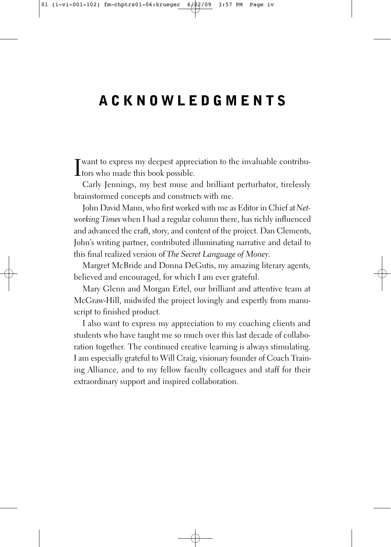## A C K N O W L E D G M E N T S

I want to express my deepest appre<br>tors who made this book possible. want to express my deepest appreciation to the invaluable contribu-

Carly Jennings, my best muse and brilliant perturbator, tirelessly brainstormed concepts and constructs with me.

John David Mann, who first worked with me as Editor in Chief at Networking Times when I had a regular column there, has richly influenced and advanced the craft, story, and content of the project. Dan Clements, John's writing partner, contributed illuminating narrative and detail to this final realized version of The Secret Language of Money.

Margret McBride and Donna DeGutis, my amazing literary agents, believed and encouraged, for which I am ever grateful.

Mary Glenn and Morgan Ertel, our brilliant and attentive team at McGraw-Hill, midwifed the project lovingly and expertly from manuscript to finished product.

I also want to express my appreciation to my coaching clients and students who have taught me so much over this last decade of collaboration together. The continued creative learning is always stimulating. I am especially grateful to Will Craig, visionary founder of Coach Training Alliance, and to my fellow faculty colleagues and staff for their extraordinary support and inspired collaboration.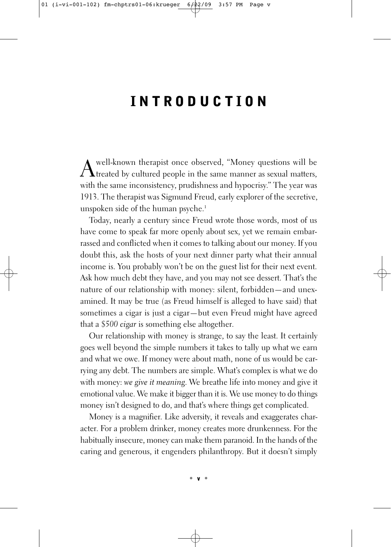## I N T R O D U C T I O N

A well-known therapist once observed, "Money questions will be treated by cultured people in the same manner as sexual matters, with the same inconsistency, prudishness and hypocrisy." The year was 1913. The therapist was Sigmund Freud, early explorer of the secretive, unspoken side of the human psyche.<sup>1</sup>

Today, nearly a century since Freud wrote those words, most of us have come to speak far more openly about sex, yet we remain embarrassed and conflicted when it comes to talking about our money. If you doubt this, ask the hosts of your next dinner party what their annual income is. You probably won't be on the guest list for their next event. Ask how much debt they have, and you may not see dessert. That's the nature of our relationship with money: silent, forbidden—and unexamined. It may be true (as Freud himself is alleged to have said) that sometimes a cigar is just a cigar—but even Freud might have agreed that a \$500 cigar is something else altogether.

Our relationship with money is strange, to say the least. It certainly goes well beyond the simple numbers it takes to tally up what we earn and what we owe. If money were about math, none of us would be carrying any debt. The numbers are simple. What's complex is what we do with money: we give it meaning. We breathe life into money and give it emotional value. We make it bigger than it is. We use money to do things money isn't designed to do, and that's where things get complicated.

Money is a magnifier. Like adversity, it reveals and exaggerates character. For a problem drinker, money creates more drunkenness. For the habitually insecure, money can make them paranoid. In the hands of the caring and generous, it engenders philanthropy. But it doesn't simply

 $v =$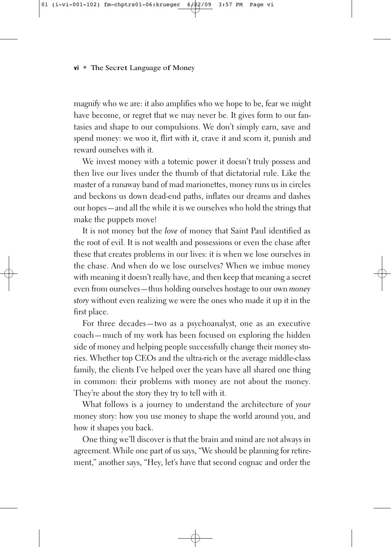#### vi • The Secret Language of Money

magnify who we are: it also amplifies who we hope to be, fear we might have become, or regret that we may never be. It gives form to our fantasies and shape to our compulsions. We don't simply earn, save and spend money: we woo it, flirt with it, crave it and scorn it, punish and reward ourselves with it.

We invest money with a totemic power it doesn't truly possess and then live our lives under the thumb of that dictatorial rule. Like the master of a runaway band of mad marionettes, money runs us in circles and beckons us down dead-end paths, inflates our dreams and dashes our hopes—and all the while it is we ourselves who hold the strings that make the puppets move!

It is not money but the love of money that Saint Paul identified as the root of evil. It is not wealth and possessions or even the chase after these that creates problems in our lives: it is when we lose ourselves in the chase. And when do we lose ourselves? When we imbue money with meaning it doesn't really have, and then keep that meaning a secret even from ourselves—thus holding ourselves hostage to our own money story without even realizing we were the ones who made it up it in the first place.

For three decades—two as a psychoanalyst, one as an executive coach—much of my work has been focused on exploring the hidden side of money and helping people successfully change their money stories. Whether top CEOs and the ultra-rich or the average middle-class family, the clients I've helped over the years have all shared one thing in common: their problems with money are not about the money. They're about the story they try to tell with it.

What follows is a journey to understand the architecture of your money story: how you use money to shape the world around you, and how it shapes you back.

One thing we'll discover is that the brain and mind are not always in agreement. While one part of us says, "We should be planning for retirement," another says, "Hey, let's have that second cognac and order the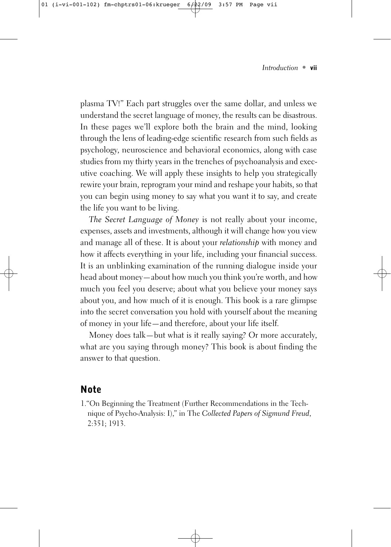plasma TV!" Each part struggles over the same dollar, and unless we understand the secret language of money, the results can be disastrous. In these pages we'll explore both the brain and the mind, looking through the lens of leading-edge scientific research from such fields as psychology, neuroscience and behavioral economics, along with case studies from my thirty years in the trenches of psychoanalysis and executive coaching. We will apply these insights to help you strategically rewire your brain, reprogram your mind and reshape your habits, so that you can begin using money to say what you want it to say, and create the life you want to be living.

The Secret Language of Money is not really about your income, expenses, assets and investments, although it will change how you view and manage all of these. It is about your relationship with money and how it affects everything in your life, including your financial success. It is an unblinking examination of the running dialogue inside your head about money—about how much you think you're worth, and how much you feel you deserve; about what you believe your money says about you, and how much of it is enough. This book is a rare glimpse into the secret conversation you hold with yourself about the meaning of money in your life—and therefore, about your life itself.

Money does talk—but what is it really saying? Or more accurately, what are you saying through money? This book is about finding the answer to that question.

## Note

1."On Beginning the Treatment (Further Recommendations in the Technique of Psycho-Analysis: I)," in The Collected Papers of Sigmund Freud, 2:351; 1913.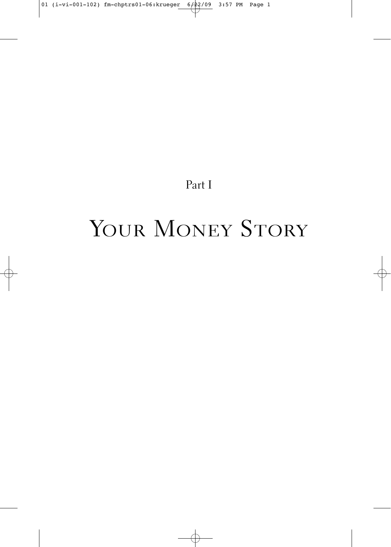Part I

# YOUR MONEY STORY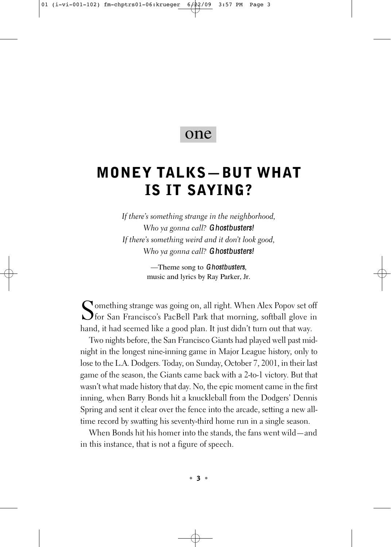## one

## MONEY TALKS—BUT WHAT IS IT SAYING?

If there's something strange in the neighborhood, Who ya gonna call? **Ghostbusters!** If there's something weird and it don't look good, Who ya gonna call? **Ghostbusters!** 

> —Theme song to Ghostbuster<sup>s</sup>, music and lyrics by Ray Parker, Jr.

Something strange was going on, all right. When Alex Popov set off **J** for San Francisco's PacBell Park that morning, softball glove in hand, it had seemed like a good plan. It just didn't turn out that way.

Two nights before, the San Francisco Giants had played well past midnight in the longest nine-inning game in Major League history, only to lose to the L.A. Dodgers. Today, on Sunday, October 7, 2001, in their last game of the season, the Giants came back with a 2-to-1 victory. But that wasn't what made history that day. No, the epic moment came in the first inning, when Barry Bonds hit a knuckleball from the Dodgers' Dennis Spring and sent it clear over the fence into the arcade, setting a new alltime record by swatting his seventy-third home run in a single season.

When Bonds hit his homer into the stands, the fans went wild—and in this instance, that is not a figure of speech.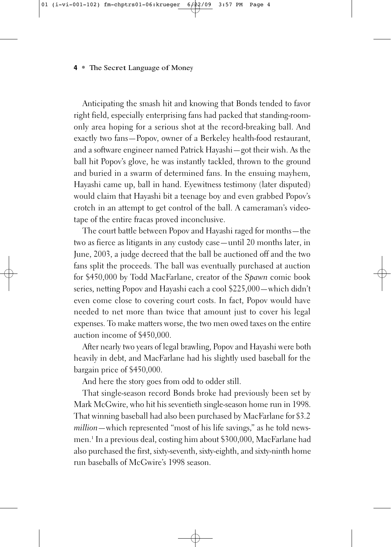#### 4 • The Secret Language of Money

Anticipating the smash hit and knowing that Bonds tended to favor right field, especially enterprising fans had packed that standing-roomonly area hoping for a serious shot at the record-breaking ball. And exactly two fans—Popov, owner of a Berkeley health-food restaurant, and a software engineer named Patrick Hayashi—got their wish. As the ball hit Popov's glove, he was instantly tackled, thrown to the ground and buried in a swarm of determined fans. In the ensuing mayhem, Hayashi came up, ball in hand. Eyewitness testimony (later disputed) would claim that Hayashi bit a teenage boy and even grabbed Popov's crotch in an attempt to get control of the ball. A cameraman's videotape of the entire fracas proved inconclusive.

The court battle between Popov and Hayashi raged for months—the two as fierce as litigants in any custody case—until 20 months later, in June, 2003, a judge decreed that the ball be auctioned off and the two fans split the proceeds. The ball was eventually purchased at auction for \$450,000 by Todd MacFarlane, creator of the Spawn comic book series, netting Popov and Hayashi each a cool \$225,000—which didn't even come close to covering court costs. In fact, Popov would have needed to net more than twice that amount just to cover his legal expenses. To make matters worse, the two men owed taxes on the entire auction income of \$450,000.

After nearly two years of legal brawling, Popov and Hayashi were both heavily in debt, and MacFarlane had his slightly used baseball for the bargain price of \$450,000.

And here the story goes from odd to odder still.

That single-season record Bonds broke had previously been set by Mark McGwire, who hit his seventieth single-season home run in 1998. That winning baseball had also been purchased by MacFarlane for \$3.2 million—which represented "most of his life savings," as he told newsmen.1 In a previous deal, costing him about \$300,000, MacFarlane had also purchased the first, sixty-seventh, sixty-eighth, and sixty-ninth home run baseballs of McGwire's 1998 season.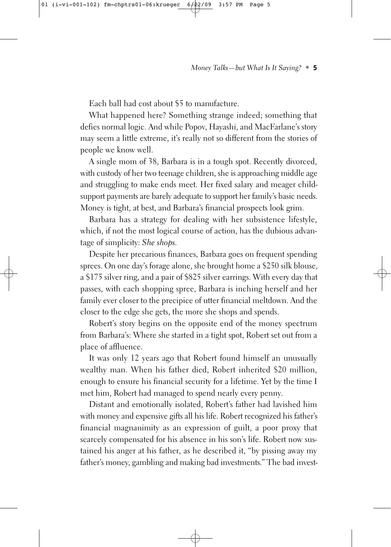Each ball had cost about \$5 to manufacture.

What happened here? Something strange indeed; something that defies normal logic. And while Popov, Hayashi, and MacFarlane's story may seem a little extreme, it's really not so different from the stories of people we know well.

A single mom of 38, Barbara is in a tough spot. Recently divorced, with custody of her two teenage children, she is approaching middle age and struggling to make ends meet. Her fixed salary and meager childsupport payments are barely adequate to support her family's basic needs. Money is tight, at best, and Barbara's financial prospects look grim.

Barbara has a strategy for dealing with her subsistence lifestyle, which, if not the most logical course of action, has the dubious advantage of simplicity: She shops.

Despite her precarious finances, Barbara goes on frequent spending sprees. On one day's forage alone, she brought home a \$250 silk blouse, a \$175 silver ring, and a pair of \$825 silver earrings. With every day that passes, with each shopping spree, Barbara is inching herself and her family ever closer to the precipice of utter financial meltdown. And the closer to the edge she gets, the more she shops and spends.

Robert's story begins on the opposite end of the money spectrum from Barbara's: Where she started in a tight spot, Robert set out from a place of affluence.

It was only 12 years ago that Robert found himself an unusually wealthy man. When his father died, Robert inherited \$20 million, enough to ensure his financial security for a lifetime. Yet by the time I met him, Robert had managed to spend nearly every penny.

Distant and emotionally isolated, Robert's father had lavished him with money and expensive gifts all his life. Robert recognized his father's financial magnanimity as an expression of guilt, a poor proxy that scarcely compensated for his absence in his son's life. Robert now sustained his anger at his father, as he described it, "by pissing away my father's money, gambling and making bad investments." The bad invest-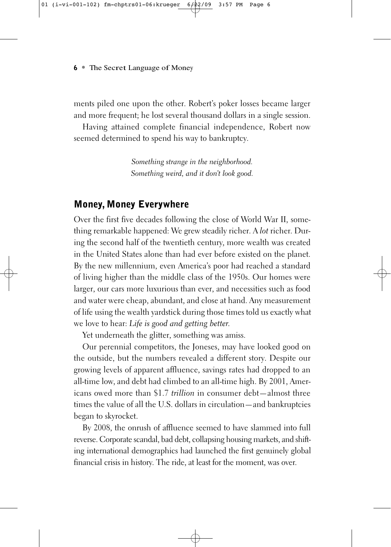#### 6 • The Secret Language of Money

ments piled one upon the other. Robert's poker losses became larger and more frequent; he lost several thousand dollars in a single session.

Having attained complete financial independence, Robert now seemed determined to spend his way to bankruptcy.

> Something strange in the neighborhood. Something weird, and it don't look good.

## Money, Money Everywhere

Over the first five decades following the close of World War II, something remarkable happened: We grew steadily richer. A lot richer. During the second half of the twentieth century, more wealth was created in the United States alone than had ever before existed on the planet. By the new millennium, even America's poor had reached a standard of living higher than the middle class of the 1950s. Our homes were larger, our cars more luxurious than ever, and necessities such as food and water were cheap, abundant, and close at hand. Any measurement of life using the wealth yardstick during those times told us exactly what we love to hear: Life is good and getting better.

Yet underneath the glitter, something was amiss.

Our perennial competitors, the Joneses, may have looked good on the outside, but the numbers revealed a different story. Despite our growing levels of apparent affluence, savings rates had dropped to an all-time low, and debt had climbed to an all-time high. By 2001, Americans owed more than \$1.7 trillion in consumer debt—almost three times the value of all the U.S. dollars in circulation—and bankruptcies began to skyrocket.

By 2008, the onrush of affluence seemed to have slammed into full reverse. Corporate scandal, bad debt, collapsing housing markets, and shifting international demographics had launched the first genuinely global financial crisis in history. The ride, at least for the moment, was over.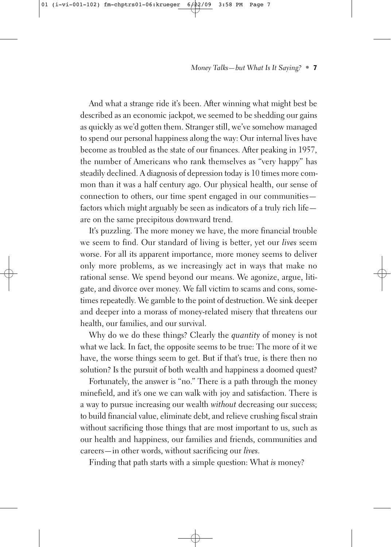And what a strange ride it's been. After winning what might best be described as an economic jackpot, we seemed to be shedding our gains as quickly as we'd gotten them. Stranger still, we've somehow managed to spend our personal happiness along the way: Our internal lives have become as troubled as the state of our finances. After peaking in 1957, the number of Americans who rank themselves as "very happy" has steadily declined. A diagnosis of depression today is 10 times more common than it was a half century ago. Our physical health, our sense of connection to others, our time spent engaged in our communities factors which might arguably be seen as indicators of a truly rich life are on the same precipitous downward trend.

It's puzzling. The more money we have, the more financial trouble we seem to find. Our standard of living is better, yet our lives seem worse. For all its apparent importance, more money seems to deliver only more problems, as we increasingly act in ways that make no rational sense. We spend beyond our means. We agonize, argue, litigate, and divorce over money. We fall victim to scams and cons, sometimes repeatedly. We gamble to the point of destruction. We sink deeper and deeper into a morass of money-related misery that threatens our health, our families, and our survival.

Why do we do these things? Clearly the *quantity* of money is not what we lack. In fact, the opposite seems to be true: The more of it we have, the worse things seem to get. But if that's true, is there then no solution? Is the pursuit of both wealth and happiness a doomed quest?

Fortunately, the answer is "no." There is a path through the money minefield, and it's one we can walk with joy and satisfaction. There is a way to pursue increasing our wealth without decreasing our success; to build financial value, eliminate debt, and relieve crushing fiscal strain without sacrificing those things that are most important to us, such as our health and happiness, our families and friends, communities and careers—in other words, without sacrificing our lives.

Finding that path starts with a simple question: What is money?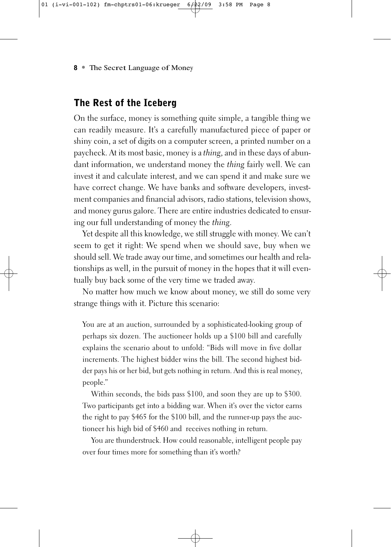## The Rest of the Iceberg

On the surface, money is something quite simple, a tangible thing we can readily measure. It's a carefully manufactured piece of paper or shiny coin, a set of digits on a computer screen, a printed number on a paycheck. At its most basic, money is a thing, and in these days of abundant information, we understand money the thing fairly well. We can invest it and calculate interest, and we can spend it and make sure we have correct change. We have banks and software developers, investment companies and financial advisors, radio stations, television shows, and money gurus galore. There are entire industries dedicated to ensuring our full understanding of money the thing.

Yet despite all this knowledge, we still struggle with money. We can't seem to get it right: We spend when we should save, buy when we should sell. We trade away our time, and sometimes our health and relationships as well, in the pursuit of money in the hopes that it will eventually buy back some of the very time we traded away.

No matter how much we know about money, we still do some very strange things with it. Picture this scenario:

You are at an auction, surrounded by a sophisticated-looking group of perhaps six dozen. The auctioneer holds up a \$100 bill and carefully explains the scenario about to unfold: "Bids will move in five dollar increments. The highest bidder wins the bill. The second highest bidder pays his or her bid, but gets nothing in return. And this is real money, people."

Within seconds, the bids pass \$100, and soon they are up to \$300. Two participants get into a bidding war. When it's over the victor earns the right to pay \$465 for the \$100 bill, and the runner-up pays the auctioneer his high bid of \$460 and receives nothing in return.

You are thunderstruck. How could reasonable, intelligent people pay over four times more for something than it's worth?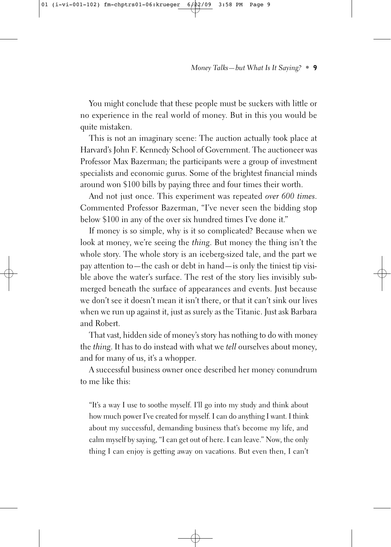You might conclude that these people must be suckers with little or no experience in the real world of money. But in this you would be quite mistaken.

This is not an imaginary scene: The auction actually took place at Harvard's John F. Kennedy School of Government. The auctioneer was Professor Max Bazerman; the participants were a group of investment specialists and economic gurus. Some of the brightest financial minds around won \$100 bills by paying three and four times their worth.

And not just once. This experiment was repeated over 600 times. Commented Professor Bazerman, "I've never seen the bidding stop below \$100 in any of the over six hundred times I've done it."

If money is so simple, why is it so complicated? Because when we look at money, we're seeing the *thing*. But money the thing isn't the whole story. The whole story is an iceberg-sized tale, and the part we pay attention to—the cash or debt in hand—is only the tiniest tip visible above the water's surface. The rest of the story lies invisibly submerged beneath the surface of appearances and events. Just because we don't see it doesn't mean it isn't there, or that it can't sink our lives when we run up against it, just as surely as the Titanic. Just ask Barbara and Robert.

That vast, hidden side of money's story has nothing to do with money the *thing*. It has to do instead with what we *tell* ourselves about money, and for many of us, it's a whopper.

A successful business owner once described her money conundrum to me like this:

"It's a way I use to soothe myself. I'll go into my study and think about how much power I've created for myself. I can do anything I want. I think about my successful, demanding business that's become my life, and calm myself by saying, "I can get out of here. I can leave." Now, the only thing I can enjoy is getting away on vacations. But even then, I can't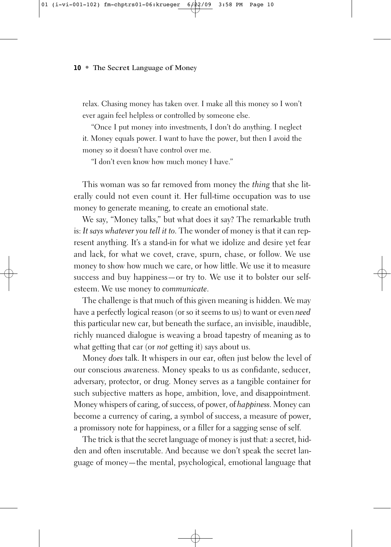#### 10 • The Secret Language of Money

relax. Chasing money has taken over. I make all this money so I won't ever again feel helpless or controlled by someone else.

"Once I put money into investments, I don't do anything. I neglect it. Money equals power. I want to have the power, but then I avoid the money so it doesn't have control over me.

"I don't even know how much money I have."

This woman was so far removed from money the thing that she literally could not even count it. Her full-time occupation was to use money to generate meaning, to create an emotional state.

We say, "Money talks," but what does it say? The remarkable truth is: It says whatever you tell it to. The wonder of money is that it can represent anything. It's a stand-in for what we idolize and desire yet fear and lack, for what we covet, crave, spurn, chase, or follow. We use money to show how much we care, or how little. We use it to measure success and buy happiness—or try to. We use it to bolster our selfesteem. We use money to communicate.

The challenge is that much of this given meaning is hidden. We may have a perfectly logical reason (or so it seems to us) to want or even need this particular new car, but beneath the surface, an invisible, inaudible, richly nuanced dialogue is weaving a broad tapestry of meaning as to what getting that car (or *not* getting it) says about us.

Money does talk. It whispers in our ear, often just below the level of our conscious awareness. Money speaks to us as confidante, seducer, adversary, protector, or drug. Money serves as a tangible container for such subjective matters as hope, ambition, love, and disappointment. Money whispers of caring, of success, of power, of happiness. Money can become a currency of caring, a symbol of success, a measure of power, a promissory note for happiness, or a filler for a sagging sense of self.

The trick is that the secret language of money is just that: a secret, hidden and often inscrutable. And because we don't speak the secret language of money—the mental, psychological, emotional language that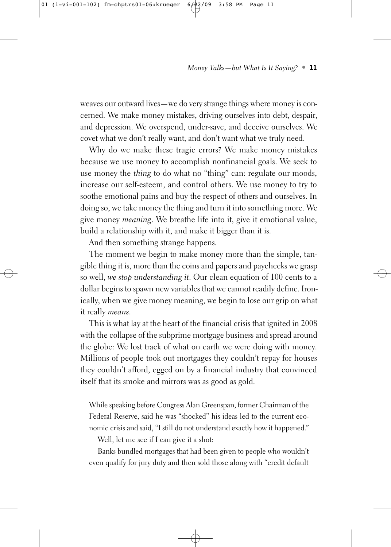weaves our outward lives—we do very strange things where money is concerned. We make money mistakes, driving ourselves into debt, despair, and depression. We overspend, under-save, and deceive ourselves. We covet what we don't really want, and don't want what we truly need.

Why do we make these tragic errors? We make money mistakes because we use money to accomplish nonfinancial goals. We seek to use money the thing to do what no "thing" can: regulate our moods, increase our self-esteem, and control others. We use money to try to soothe emotional pains and buy the respect of others and ourselves. In doing so, we take money the thing and turn it into something more. We give money meaning. We breathe life into it, give it emotional value, build a relationship with it, and make it bigger than it is.

And then something strange happens.

The moment we begin to make money more than the simple, tangible thing it is, more than the coins and papers and paychecks we grasp so well, we stop understanding it. Our clean equation of 100 cents to a dollar begins to spawn new variables that we cannot readily define. Ironically, when we give money meaning, we begin to lose our grip on what it really means.

This is what lay at the heart of the financial crisis that ignited in 2008 with the collapse of the subprime mortgage business and spread around the globe: We lost track of what on earth we were doing with money. Millions of people took out mortgages they couldn't repay for houses they couldn't afford, egged on by a financial industry that convinced itself that its smoke and mirrors was as good as gold.

While speaking before Congress Alan Greenspan, former Chairman of the Federal Reserve, said he was "shocked" his ideas led to the current economic crisis and said, "I still do not understand exactly how it happened."

Well, let me see if I can give it a shot:

Banks bundled mortgages that had been given to people who wouldn't even qualify for jury duty and then sold those along with "credit default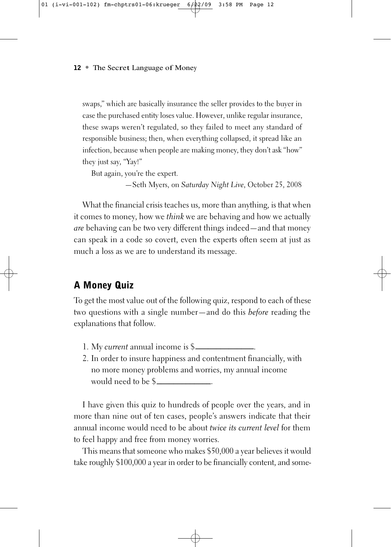### 12 • The Secret Language of Money

swaps," which are basically insurance the seller provides to the buyer in case the purchased entity loses value. However, unlike regular insurance, these swaps weren't regulated, so they failed to meet any standard of responsible business; then, when everything collapsed, it spread like an infection, because when people are making money, they don't ask "how" they just say, "Yay!"

But again, you're the expert.

—Seth Myers, on Saturday Night Live, October 25, 2008

What the financial crisis teaches us, more than anything, is that when it comes to money, how we think we are behaving and how we actually are behaving can be two very different things indeed—and that money can speak in a code so covert, even the experts often seem at just as much a loss as we are to understand its message.

## A Money Quiz

To get the most value out of the following quiz, respond to each of these two questions with a single number—and do this before reading the explanations that follow.

- 1. My current annual income is \$
- 2. In order to insure happiness and contentment financially, with no more money problems and worries, my annual income would need to be \$\_\_\_\_\_\_\_\_\_\_\_\_\_.

I have given this quiz to hundreds of people over the years, and in more than nine out of ten cases, people's answers indicate that their annual income would need to be about twice its current level for them to feel happy and free from money worries.

This means that someone who makes \$50,000 a year believes it would take roughly \$100,000 a year in order to be financially content, and some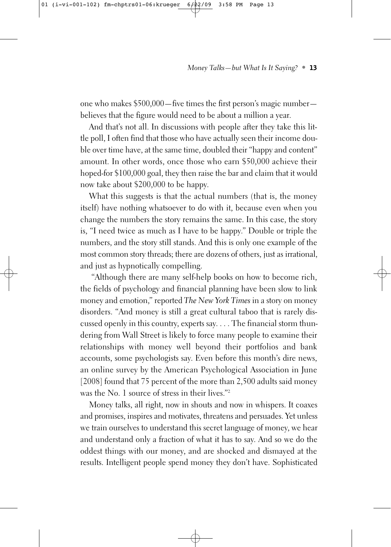one who makes \$500,000—five times the first person's magic number believes that the figure would need to be about a million a year.

And that's not all. In discussions with people after they take this little poll, I often find that those who have actually seen their income double over time have, at the same time, doubled their "happy and content" amount. In other words, once those who earn \$50,000 achieve their hoped-for \$100,000 goal, they then raise the bar and claim that it would now take about \$200,000 to be happy.

What this suggests is that the actual numbers (that is, the money itself) have nothing whatsoever to do with it, because even when you change the numbers the story remains the same. In this case, the story is, "I need twice as much as I have to be happy." Double or triple the numbers, and the story still stands. And this is only one example of the most common story threads; there are dozens of others, just as irrational, and just as hypnotically compelling.

"Although there are many self-help books on how to become rich, the fields of psychology and financial planning have been slow to link money and emotion," reported The New York Times in a story on money disorders. "And money is still a great cultural taboo that is rarely discussed openly in this country, experts say. . . . The financial storm thundering from Wall Street is likely to force many people to examine their relationships with money well beyond their portfolios and bank accounts, some psychologists say. Even before this month's dire news, an online survey by the American Psychological Association in June [2008] found that 75 percent of the more than 2,500 adults said money was the No. 1 source of stress in their lives."2

Money talks, all right, now in shouts and now in whispers. It coaxes and promises, inspires and motivates, threatens and persuades. Yet unless we train ourselves to understand this secret language of money, we hear and understand only a fraction of what it has to say. And so we do the oddest things with our money, and are shocked and dismayed at the results. Intelligent people spend money they don't have. Sophisticated